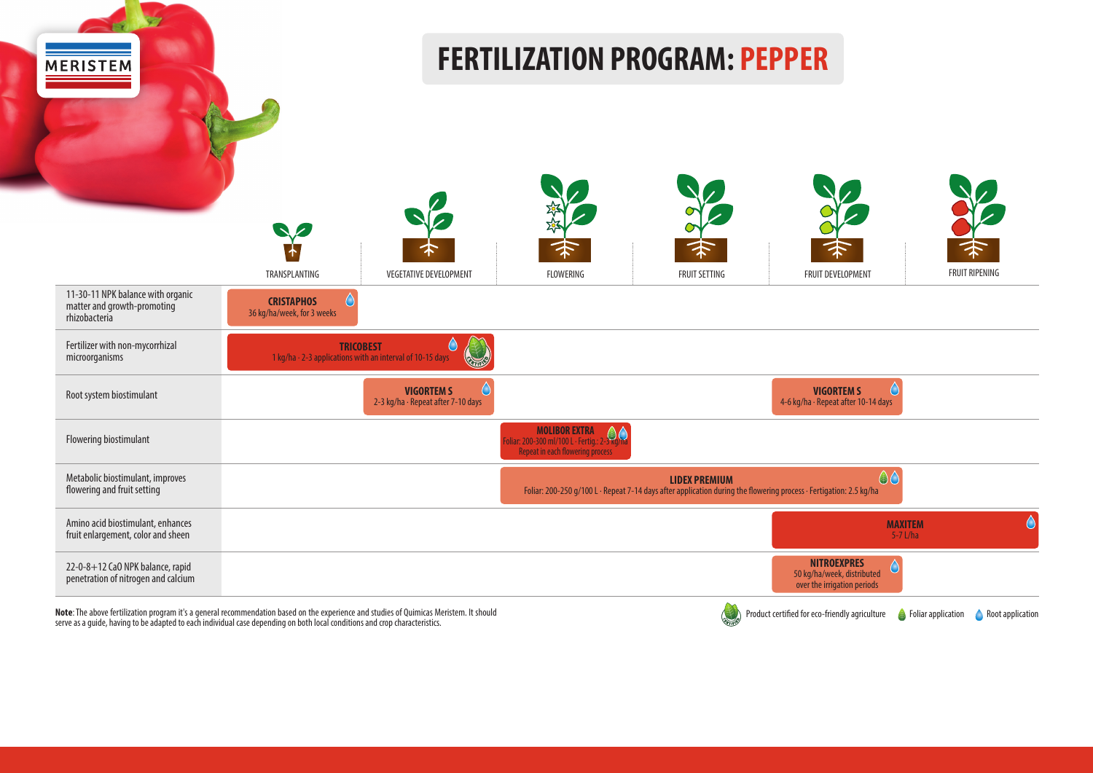